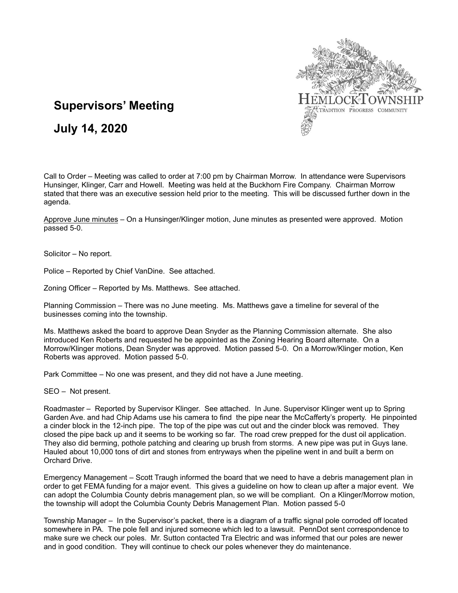

# **Supervisors' Meeting**

# **July 14, 2020**

Call to Order – Meeting was called to order at 7:00 pm by Chairman Morrow. In attendance were Supervisors Hunsinger, Klinger, Carr and Howell. Meeting was held at the Buckhorn Fire Company. Chairman Morrow stated that there was an executive session held prior to the meeting. This will be discussed further down in the agenda.

Approve June minutes – On a Hunsinger/Klinger motion, June minutes as presented were approved. Motion passed 5-0.

Solicitor – No report.

Police – Reported by Chief VanDine. See attached.

Zoning Officer – Reported by Ms. Matthews. See attached.

Planning Commission – There was no June meeting. Ms. Matthews gave a timeline for several of the businesses coming into the township.

Ms. Matthews asked the board to approve Dean Snyder as the Planning Commission alternate. She also introduced Ken Roberts and requested he be appointed as the Zoning Hearing Board alternate. On a Morrow/Klinger motions, Dean Snyder was approved. Motion passed 5-0. On a Morrow/Klinger motion, Ken Roberts was approved. Motion passed 5-0.

Park Committee – No one was present, and they did not have a June meeting.

SEO – Not present.

Roadmaster – Reported by Supervisor Klinger. See attached. In June. Supervisor Klinger went up to Spring Garden Ave. and had Chip Adams use his camera to find the pipe near the McCafferty's property. He pinpointed a cinder block in the 12-inch pipe. The top of the pipe was cut out and the cinder block was removed. They closed the pipe back up and it seems to be working so far. The road crew prepped for the dust oil application. They also did berming, pothole patching and clearing up brush from storms. A new pipe was put in Guys lane. Hauled about 10,000 tons of dirt and stones from entryways when the pipeline went in and built a berm on Orchard Drive.

Emergency Management – Scott Traugh informed the board that we need to have a debris management plan in order to get FEMA funding for a major event. This gives a guideline on how to clean up after a major event. We can adopt the Columbia County debris management plan, so we will be compliant. On a Klinger/Morrow motion, the township will adopt the Columbia County Debris Management Plan. Motion passed 5-0

Township Manager – In the Supervisor's packet, there is a diagram of a traffic signal pole corroded off located somewhere in PA. The pole fell and injured someone which led to a lawsuit. PennDot sent correspondence to make sure we check our poles. Mr. Sutton contacted Tra Electric and was informed that our poles are newer and in good condition. They will continue to check our poles whenever they do maintenance.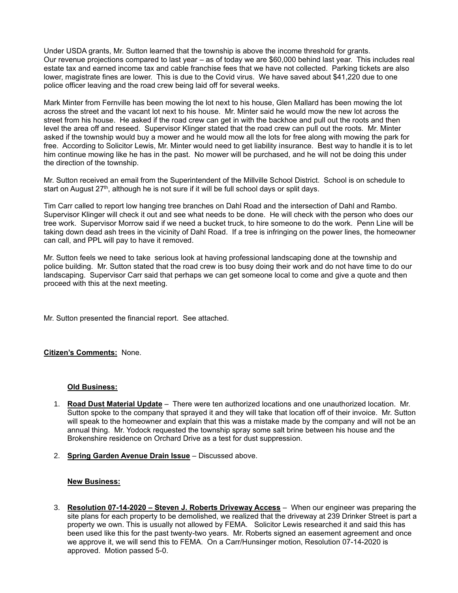Under USDA grants, Mr. Sutton learned that the township is above the income threshold for grants. Our revenue projections compared to last year – as of today we are \$60,000 behind last year. This includes real estate tax and earned income tax and cable franchise fees that we have not collected. Parking tickets are also lower, magistrate fines are lower. This is due to the Covid virus. We have saved about \$41,220 due to one police officer leaving and the road crew being laid off for several weeks.

Mark Minter from Fernville has been mowing the lot next to his house, Glen Mallard has been mowing the lot across the street and the vacant lot next to his house. Mr. Minter said he would mow the new lot across the street from his house. He asked if the road crew can get in with the backhoe and pull out the roots and then level the area off and reseed. Supervisor Klinger stated that the road crew can pull out the roots. Mr. Minter asked if the township would buy a mower and he would mow all the lots for free along with mowing the park for free. According to Solicitor Lewis, Mr. Minter would need to get liability insurance. Best way to handle it is to let him continue mowing like he has in the past. No mower will be purchased, and he will not be doing this under the direction of the township.

Mr. Sutton received an email from the Superintendent of the Millville School District. School is on schedule to start on August 27<sup>th</sup>, although he is not sure if it will be full school days or split days.

Tim Carr called to report low hanging tree branches on Dahl Road and the intersection of Dahl and Rambo. Supervisor Klinger will check it out and see what needs to be done. He will check with the person who does our tree work. Supervisor Morrow said if we need a bucket truck, to hire someone to do the work. Penn Line will be taking down dead ash trees in the vicinity of Dahl Road. If a tree is infringing on the power lines, the homeowner can call, and PPL will pay to have it removed.

Mr. Sutton feels we need to take serious look at having professional landscaping done at the township and police building. Mr. Sutton stated that the road crew is too busy doing their work and do not have time to do our landscaping. Supervisor Carr said that perhaps we can get someone local to come and give a quote and then proceed with this at the next meeting.

Mr. Sutton presented the financial report. See attached.

## **Citizen's Comments:** None.

### **Old Business:**

- 1. **Road Dust Material Update** There were ten authorized locations and one unauthorized location. Mr. Sutton spoke to the company that sprayed it and they will take that location off of their invoice. Mr. Sutton will speak to the homeowner and explain that this was a mistake made by the company and will not be an annual thing. Mr. Yodock requested the township spray some salt brine between his house and the Brokenshire residence on Orchard Drive as a test for dust suppression.
- 2. **Spring Garden Avenue Drain Issue** Discussed above.

### **New Business:**

3. **Resolution 07-14-2020 – Steven J. Roberts Driveway Access** – When our engineer was preparing the site plans for each property to be demolished, we realized that the driveway at 239 Drinker Street is part a property we own. This is usually not allowed by FEMA. Solicitor Lewis researched it and said this has been used like this for the past twenty-two years. Mr. Roberts signed an easement agreement and once we approve it, we will send this to FEMA. On a Carr/Hunsinger motion, Resolution 07-14-2020 is approved. Motion passed 5-0.